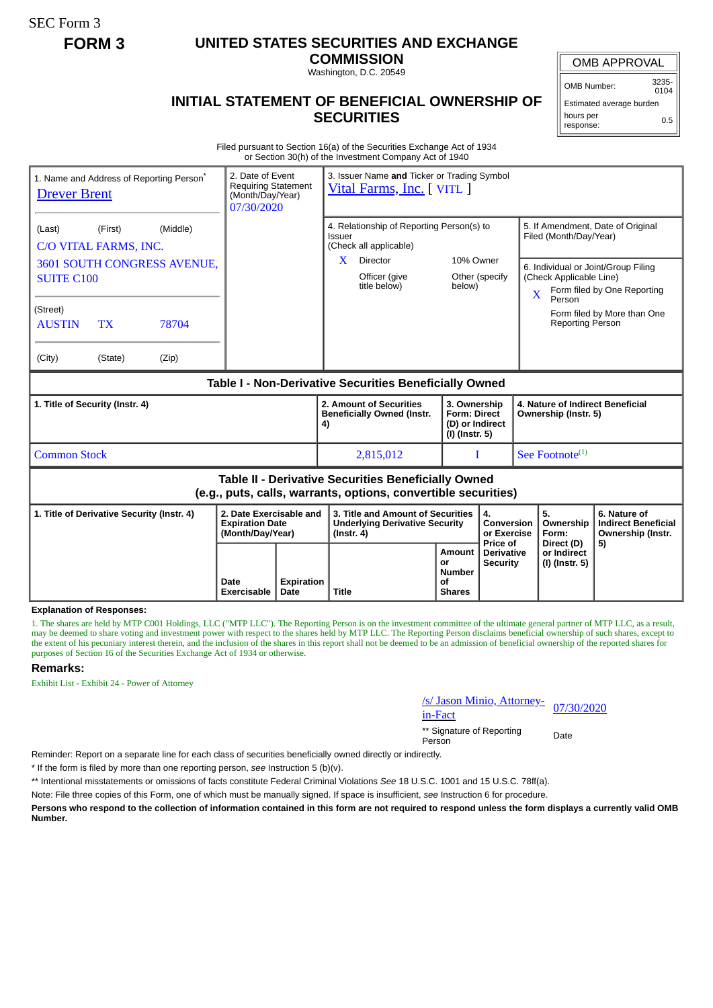SEC Form 3

## **FORM 3 UNITED STATES SECURITIES AND EXCHANGE**

**COMMISSION** Washington, D.C. 20549

## **INITIAL STATEMENT OF BENEFICIAL OWNERSHIP OF SECURITIES**

OMB APPROVAL

OMB Number: 3235- 0104

Estimated average burden hours per response: 0.5

Filed pursuant to Section 16(a) of the Securities Exchange Act of 1934 or Section 30(h) of the Investment Company Act of 1940

| <b>Drever Brent</b>                                                                                                   |                                                          | 1. Name and Address of Reporting Person <sup>®</sup>             | 2. Date of Event<br><b>Requiring Statement</b><br>(Month/Day/Year)<br>07/30/2020 |              | 3. Issuer Name and Ticker or Trading Symbol<br>Vital Farms, Inc. [VITL ]                                                                   |                                                  |                                                                          |                                             |                                                                                        |                                                                                                                                        |  |
|-----------------------------------------------------------------------------------------------------------------------|----------------------------------------------------------|------------------------------------------------------------------|----------------------------------------------------------------------------------|--------------|--------------------------------------------------------------------------------------------------------------------------------------------|--------------------------------------------------|--------------------------------------------------------------------------|---------------------------------------------|----------------------------------------------------------------------------------------|----------------------------------------------------------------------------------------------------------------------------------------|--|
| (Last)<br><b>SUITE C100</b><br>(Street)<br><b>AUSTIN</b><br>(City)                                                    | (First)<br>C/O VITAL FARMS, INC.<br><b>TX</b><br>(State) | (Middle)<br><b>3601 SOUTH CONGRESS AVENUE.</b><br>78704<br>(Zip) |                                                                                  |              | 4. Relationship of Reporting Person(s) to<br>Issuer<br>(Check all applicable)<br>$\mathbf{X}$<br>Director<br>Officer (give<br>title below) | 10% Owner<br>below)                              | Other (specify                                                           | $\mathbf{X}$                                | Filed (Month/Day/Year)<br>(Check Applicable Line)<br>Person<br><b>Reporting Person</b> | 5. If Amendment, Date of Original<br>6. Individual or Joint/Group Filing<br>Form filed by One Reporting<br>Form filed by More than One |  |
| Table I - Non-Derivative Securities Beneficially Owned                                                                |                                                          |                                                                  |                                                                                  |              |                                                                                                                                            |                                                  |                                                                          |                                             |                                                                                        |                                                                                                                                        |  |
| 1. Title of Security (Instr. 4)                                                                                       |                                                          |                                                                  |                                                                                  |              | 2. Amount of Securities<br><b>Beneficially Owned (Instr.</b><br>4)                                                                         |                                                  | 3. Ownership<br><b>Form: Direct</b><br>(D) or Indirect<br>(I) (Instr. 5) |                                             | 4. Nature of Indirect Beneficial<br>Ownership (Instr. 5)                               |                                                                                                                                        |  |
| <b>Common Stock</b>                                                                                                   |                                                          |                                                                  |                                                                                  |              | 2,815,012                                                                                                                                  |                                                  |                                                                          |                                             | See Footnote <sup>(1)</sup>                                                            |                                                                                                                                        |  |
| Table II - Derivative Securities Beneficially Owned<br>(e.g., puts, calls, warrants, options, convertible securities) |                                                          |                                                                  |                                                                                  |              |                                                                                                                                            |                                                  |                                                                          |                                             |                                                                                        |                                                                                                                                        |  |
| 1. Title of Derivative Security (Instr. 4)                                                                            |                                                          |                                                                  | 2. Date Exercisable and<br><b>Expiration Date</b><br>(Month/Day/Year)            |              | 3. Title and Amount of Securities<br><b>Underlying Derivative Security</b><br>$($ lnstr. 4 $)$                                             |                                                  | 4.<br>Conversion<br>or Exercise                                          |                                             | 5.<br>Ownership<br>Form:                                                               | 6. Nature of<br><b>Indirect Beneficial</b><br>Ownership (Instr.                                                                        |  |
|                                                                                                                       |                                                          | Date<br>Exercisable                                              | <b>Expiration</b><br>Date                                                        | <b>Title</b> | Amount<br>or<br><b>Number</b><br>of<br><b>Shares</b>                                                                                       | Price of<br><b>Derivative</b><br><b>Security</b> |                                                                          | Direct (D)<br>or Indirect<br>(I) (Instr. 5) | 5)                                                                                     |                                                                                                                                        |  |

## **Explanation of Responses:**

1. The shares are held by MTP C001 Holdings, LLC ("MTP LLC"). The Reporting Person is on the investment committee of the ultimate general partner of MTP LLC, as a result, may be deemed to share voting and investment power with respect to the shares held by MTP LLC. The Reporting Person disclaims beneficial ownership of such shares, except to the extent of his pecuniary interest therein, and the inclusion of the shares in this report shall not be deemed to be an admission of beneficial ownership of the reported shares for purposes of Section 16 of the Securities Exchange Act of 1934 or otherwise.

## **Remarks:**

Exhibit List - Exhibit 24 - Power of Attorney

| s/ Jason Minio, Attorney- 07/30/2020 |  |
|--------------------------------------|--|
| in-Fact                              |  |

\*\* Signature of Reporting Person Date

Reminder: Report on a separate line for each class of securities beneficially owned directly or indirectly.

\* If the form is filed by more than one reporting person, *see* Instruction 5 (b)(v).

\*\* Intentional misstatements or omissions of facts constitute Federal Criminal Violations *See* 18 U.S.C. 1001 and 15 U.S.C. 78ff(a).

Note: File three copies of this Form, one of which must be manually signed. If space is insufficient, *see* Instruction 6 for procedure.

**Persons who respond to the collection of information contained in this form are not required to respond unless the form displays a currently valid OMB Number.**